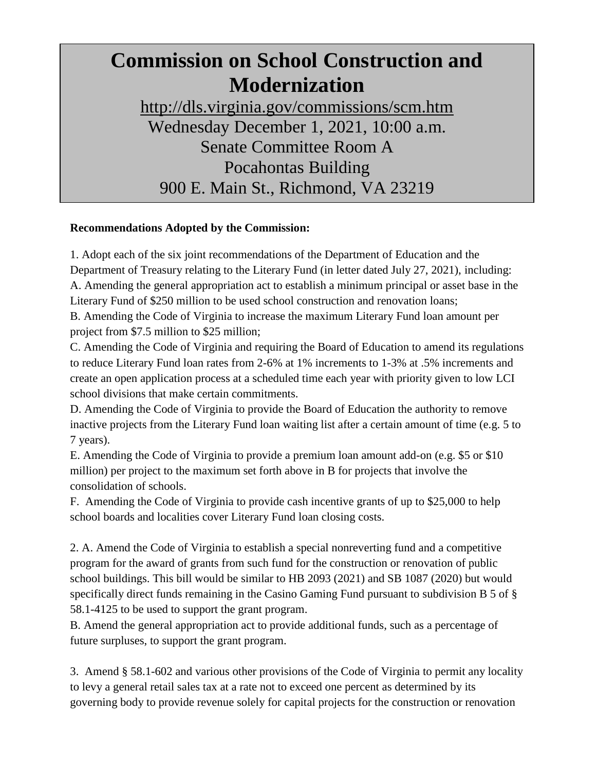## **Commission on School Construction and Modernization**

http://dls.virginia.gov/commissions/scm.htm Wednesday December 1, 2021, 10:00 a.m. Senate Committee Room A Pocahontas Building 900 E. Main St., Richmond, VA 23219

## **Recommendations Adopted by the Commission:**

1. Adopt each of the six joint recommendations of the Department of Education and the Department of Treasury relating to the Literary Fund (in letter dated July 27, 2021), including: A. Amending the general appropriation act to establish a minimum principal or asset base in the Literary Fund of \$250 million to be used school construction and renovation loans;

B. Amending the Code of Virginia to increase the maximum Literary Fund loan amount per project from \$7.5 million to \$25 million;

C. Amending the Code of Virginia and requiring the Board of Education to amend its regulations to reduce Literary Fund loan rates from 2-6% at 1% increments to 1-3% at .5% increments and create an open application process at a scheduled time each year with priority given to low LCI school divisions that make certain commitments.

D. Amending the Code of Virginia to provide the Board of Education the authority to remove inactive projects from the Literary Fund loan waiting list after a certain amount of time (e.g. 5 to 7 years).

E. Amending the Code of Virginia to provide a premium loan amount add-on (e.g. \$5 or \$10 million) per project to the maximum set forth above in B for projects that involve the consolidation of schools.

F. Amending the Code of Virginia to provide cash incentive grants of up to \$25,000 to help school boards and localities cover Literary Fund loan closing costs.

2. A. Amend the Code of Virginia to establish a special nonreverting fund and a competitive program for the award of grants from such fund for the construction or renovation of public school buildings. This bill would be similar to HB 2093 (2021) and SB 1087 (2020) but would specifically direct funds remaining in the Casino Gaming Fund pursuant to subdivision B 5 of § 58.1-4125 to be used to support the grant program.

B. Amend the general appropriation act to provide additional funds, such as a percentage of future surpluses, to support the grant program.

3. Amend § 58.1-602 and various other provisions of the Code of Virginia to permit any locality to levy a general retail sales tax at a rate not to exceed one percent as determined by its governing body to provide revenue solely for capital projects for the construction or renovation